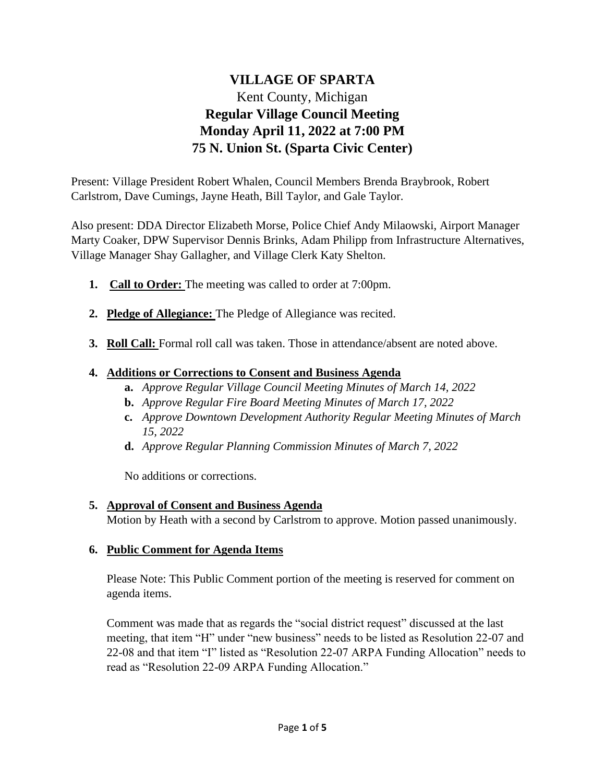# **VILLAGE OF SPARTA** Kent County, Michigan **Regular Village Council Meeting Monday April 11, 2022 at 7:00 PM 75 N. Union St. (Sparta Civic Center)**

Present: Village President Robert Whalen, Council Members Brenda Braybrook, Robert Carlstrom, Dave Cumings, Jayne Heath, Bill Taylor, and Gale Taylor.

Also present: DDA Director Elizabeth Morse, Police Chief Andy Milaowski, Airport Manager Marty Coaker, DPW Supervisor Dennis Brinks, Adam Philipp from Infrastructure Alternatives, Village Manager Shay Gallagher, and Village Clerk Katy Shelton.

- **1. Call to Order:** The meeting was called to order at 7:00pm.
- **2. Pledge of Allegiance:** The Pledge of Allegiance was recited.
- **3. Roll Call:** Formal roll call was taken. Those in attendance/absent are noted above.

#### **4. Additions or Corrections to Consent and Business Agenda**

- **a.** *Approve Regular Village Council Meeting Minutes of March 14, 2022*
- **b.** *Approve Regular Fire Board Meeting Minutes of March 17, 2022*
- **c.** *Approve Downtown Development Authority Regular Meeting Minutes of March 15, 2022*
- **d.** *Approve Regular Planning Commission Minutes of March 7, 2022*

No additions or corrections.

#### **5. Approval of Consent and Business Agenda**

Motion by Heath with a second by Carlstrom to approve. Motion passed unanimously.

#### **6. Public Comment for Agenda Items**

Please Note: This Public Comment portion of the meeting is reserved for comment on agenda items.

Comment was made that as regards the "social district request" discussed at the last meeting, that item "H" under "new business" needs to be listed as Resolution 22-07 and 22-08 and that item "I" listed as "Resolution 22-07 ARPA Funding Allocation" needs to read as "Resolution 22-09 ARPA Funding Allocation."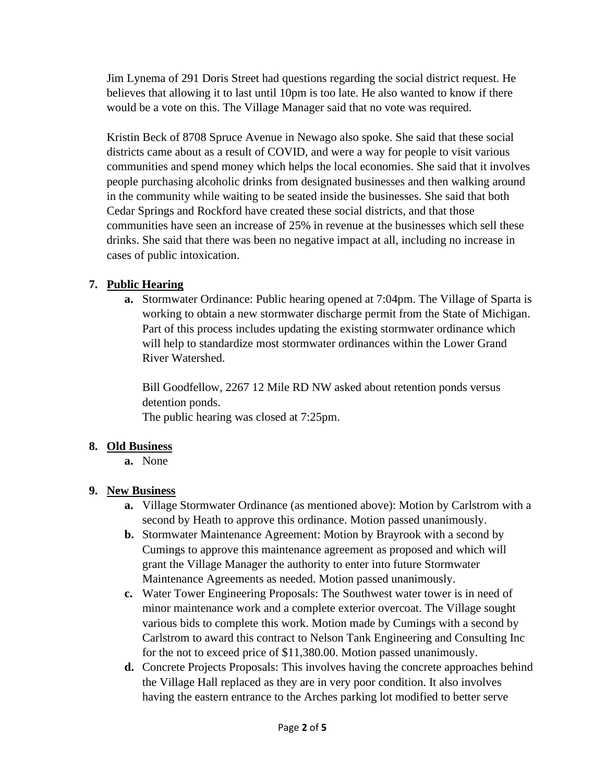Jim Lynema of 291 Doris Street had questions regarding the social district request. He believes that allowing it to last until 10pm is too late. He also wanted to know if there would be a vote on this. The Village Manager said that no vote was required.

Kristin Beck of 8708 Spruce Avenue in Newago also spoke. She said that these social districts came about as a result of COVID, and were a way for people to visit various communities and spend money which helps the local economies. She said that it involves people purchasing alcoholic drinks from designated businesses and then walking around in the community while waiting to be seated inside the businesses. She said that both Cedar Springs and Rockford have created these social districts, and that those communities have seen an increase of 25% in revenue at the businesses which sell these drinks. She said that there was been no negative impact at all, including no increase in cases of public intoxication.

### **7. Public Hearing**

**a.** Stormwater Ordinance: Public hearing opened at 7:04pm. The Village of Sparta is working to obtain a new stormwater discharge permit from the State of Michigan. Part of this process includes updating the existing stormwater ordinance which will help to standardize most stormwater ordinances within the Lower Grand River Watershed.

Bill Goodfellow, 2267 12 Mile RD NW asked about retention ponds versus detention ponds.

The public hearing was closed at 7:25pm.

# **8. Old Business**

**a.** None

# **9. New Business**

- **a.** Village Stormwater Ordinance (as mentioned above): Motion by Carlstrom with a second by Heath to approve this ordinance. Motion passed unanimously.
- **b.** Stormwater Maintenance Agreement: Motion by Brayrook with a second by Cumings to approve this maintenance agreement as proposed and which will grant the Village Manager the authority to enter into future Stormwater Maintenance Agreements as needed. Motion passed unanimously.
- **c.** Water Tower Engineering Proposals: The Southwest water tower is in need of minor maintenance work and a complete exterior overcoat. The Village sought various bids to complete this work. Motion made by Cumings with a second by Carlstrom to award this contract to Nelson Tank Engineering and Consulting Inc for the not to exceed price of \$11,380.00. Motion passed unanimously.
- **d.** Concrete Projects Proposals: This involves having the concrete approaches behind the Village Hall replaced as they are in very poor condition. It also involves having the eastern entrance to the Arches parking lot modified to better serve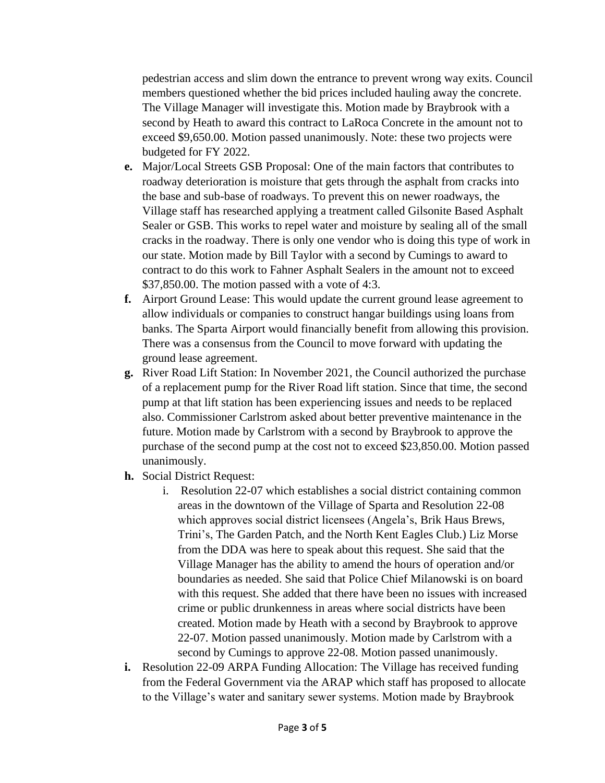pedestrian access and slim down the entrance to prevent wrong way exits. Council members questioned whether the bid prices included hauling away the concrete. The Village Manager will investigate this. Motion made by Braybrook with a second by Heath to award this contract to LaRoca Concrete in the amount not to exceed \$9,650.00. Motion passed unanimously. Note: these two projects were budgeted for FY 2022.

- **e.** Major/Local Streets GSB Proposal: One of the main factors that contributes to roadway deterioration is moisture that gets through the asphalt from cracks into the base and sub-base of roadways. To prevent this on newer roadways, the Village staff has researched applying a treatment called Gilsonite Based Asphalt Sealer or GSB. This works to repel water and moisture by sealing all of the small cracks in the roadway. There is only one vendor who is doing this type of work in our state. Motion made by Bill Taylor with a second by Cumings to award to contract to do this work to Fahner Asphalt Sealers in the amount not to exceed \$37,850.00. The motion passed with a vote of 4:3.
- **f.** Airport Ground Lease: This would update the current ground lease agreement to allow individuals or companies to construct hangar buildings using loans from banks. The Sparta Airport would financially benefit from allowing this provision. There was a consensus from the Council to move forward with updating the ground lease agreement.
- **g.** River Road Lift Station: In November 2021, the Council authorized the purchase of a replacement pump for the River Road lift station. Since that time, the second pump at that lift station has been experiencing issues and needs to be replaced also. Commissioner Carlstrom asked about better preventive maintenance in the future. Motion made by Carlstrom with a second by Braybrook to approve the purchase of the second pump at the cost not to exceed \$23,850.00. Motion passed unanimously.
- **h.** Social District Request:
	- i. Resolution 22-07 which establishes a social district containing common areas in the downtown of the Village of Sparta and Resolution 22-08 which approves social district licensees (Angela's, Brik Haus Brews, Trini's, The Garden Patch, and the North Kent Eagles Club.) Liz Morse from the DDA was here to speak about this request. She said that the Village Manager has the ability to amend the hours of operation and/or boundaries as needed. She said that Police Chief Milanowski is on board with this request. She added that there have been no issues with increased crime or public drunkenness in areas where social districts have been created. Motion made by Heath with a second by Braybrook to approve 22-07. Motion passed unanimously. Motion made by Carlstrom with a second by Cumings to approve 22-08. Motion passed unanimously.
- **i.** Resolution 22-09 ARPA Funding Allocation: The Village has received funding from the Federal Government via the ARAP which staff has proposed to allocate to the Village's water and sanitary sewer systems. Motion made by Braybrook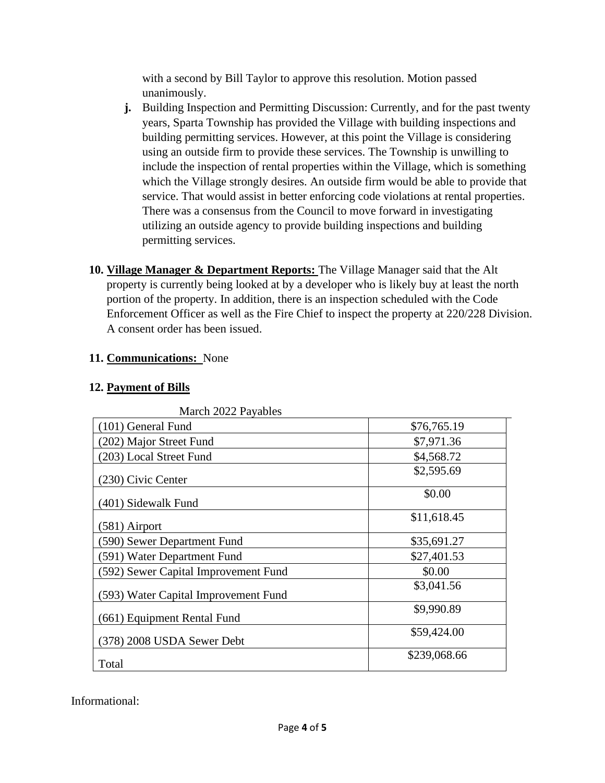with a second by Bill Taylor to approve this resolution. Motion passed unanimously.

- **j.** Building Inspection and Permitting Discussion: Currently, and for the past twenty years, Sparta Township has provided the Village with building inspections and building permitting services. However, at this point the Village is considering using an outside firm to provide these services. The Township is unwilling to include the inspection of rental properties within the Village, which is something which the Village strongly desires. An outside firm would be able to provide that service. That would assist in better enforcing code violations at rental properties. There was a consensus from the Council to move forward in investigating utilizing an outside agency to provide building inspections and building permitting services.
- **10. Village Manager & Department Reports:** The Village Manager said that the Alt property is currently being looked at by a developer who is likely buy at least the north portion of the property. In addition, there is an inspection scheduled with the Code Enforcement Officer as well as the Fire Chief to inspect the property at 220/228 Division. A consent order has been issued.

## **11. Communications:** None

## **12. Payment of Bills**

| March 2022 Payables                  |              |
|--------------------------------------|--------------|
| (101) General Fund                   | \$76,765.19  |
| (202) Major Street Fund              | \$7,971.36   |
| (203) Local Street Fund              | \$4,568.72   |
| (230) Civic Center                   | \$2,595.69   |
| (401) Sidewalk Fund                  | \$0.00       |
| (581) Airport                        | \$11,618.45  |
| (590) Sewer Department Fund          | \$35,691.27  |
| (591) Water Department Fund          | \$27,401.53  |
| (592) Sewer Capital Improvement Fund | \$0.00       |
| (593) Water Capital Improvement Fund | \$3,041.56   |
| (661) Equipment Rental Fund          | \$9,990.89   |
| (378) 2008 USDA Sewer Debt           | \$59,424.00  |
| Total                                | \$239,068.66 |

 $M = 1.2022 R = 11$ 

Informational: